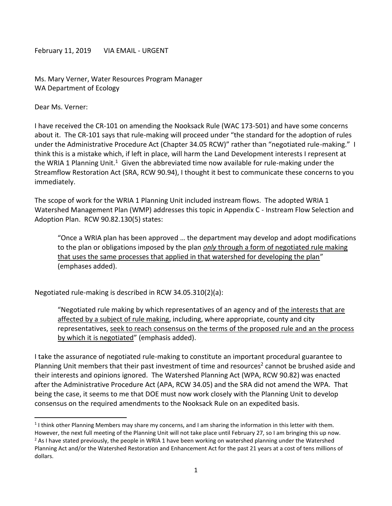February 11, 2019 VIA EMAIL - URGENT

Ms. Mary Verner, Water Resources Program Manager WA Department of Ecology

Dear Ms. Verner:

 $\overline{\phantom{a}}$ 

I have received the CR-101 on amending the Nooksack Rule (WAC 173-501) and have some concerns about it. The CR-101 says that rule-making will proceed under "the standard for the adoption of rules under the Administrative Procedure Act (Chapter 34.05 RCW)" rather than "negotiated rule-making." I think this is a mistake which, if left in place, will harm the Land Development interests I represent at the WRIA 1 Planning Unit.<sup>1</sup> Given the abbreviated time now available for rule-making under the Streamflow Restoration Act (SRA, RCW 90.94), I thought it best to communicate these concerns to you immediately.

The scope of work for the WRIA 1 Planning Unit included instream flows. The adopted WRIA 1 Watershed Management Plan (WMP) addresses this topic in Appendix C - Instream Flow Selection and Adoption Plan. RCW 90.82.130(5) states:

"Once a WRIA plan has been approved … the department may develop and adopt modifications to the plan or obligations imposed by the plan *only* through a form of negotiated rule making that uses the same processes that applied in that watershed for developing the plan" (emphases added).

Negotiated rule-making is described in RCW 34.05.310(2)(a):

"Negotiated rule making by which representatives of an agency and of the interests that are affected by a subject of rule making, including, where appropriate, county and city representatives, seek to reach consensus on the terms of the proposed rule and an the process by which it is negotiated" (emphasis added).

I take the assurance of negotiated rule-making to constitute an important procedural guarantee to Planning Unit members that their past investment of time and resources<sup>2</sup> cannot be brushed aside and their interests and opinions ignored. The Watershed Planning Act (WPA, RCW 90.82) was enacted after the Administrative Procedure Act (APA, RCW 34.05) and the SRA did not amend the WPA. That being the case, it seems to me that DOE must now work closely with the Planning Unit to develop consensus on the required amendments to the Nooksack Rule on an expedited basis.

 $1$ I think other Planning Members may share my concerns, and I am sharing the information in this letter with them.

However, the next full meeting of the Planning Unit will not take place until February 27, so I am bringing this up now. <sup>2</sup> As I have stated previously, the people in WRIA 1 have been working on watershed planning under the Watershed Planning Act and/or the Watershed Restoration and Enhancement Act for the past 21 years at a cost of tens millions of dollars.